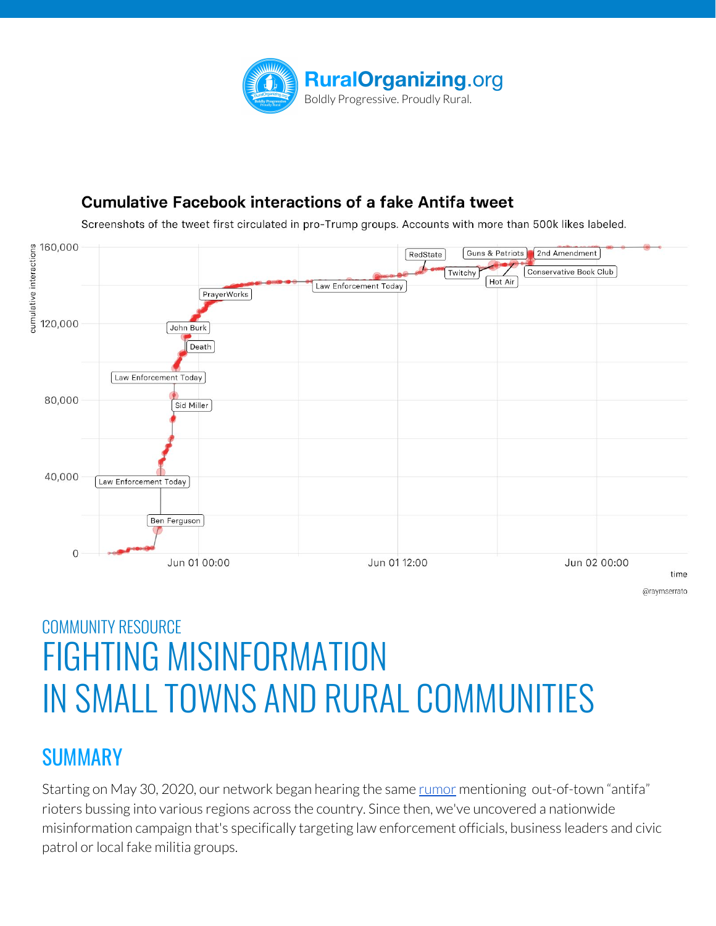

#### **Cumulative Facebook interactions of a fake Antifa tweet**

Screenshots of the tweet first circulated in pro-Trump groups. Accounts with more than 500k likes labeled.



@raymserrato

# COMMUNITY RESOURCE FIGHTING MISINFORMATION IN SMALL TOWNS AND RURAL COMMUNITIES

# **SUMMARY**

Starting on May 30, 2020, our network began hearing the same <u>[rumor](https://www.snopes.com/ap/2020/06/03/false-claims-of-antifa-protesters-plague-small-u-s-cities/?fbclid=IwAR2ic-lZR7DTRer_aMjKgi17ctTILwaxKCs1IlKFyNtnvZds6iMpyJD4JG8)</u> mentioning out-of-town "antifa" rioters bussing into various regions across the country. Since then, we've uncovered a nationwide misinformation campaign that's specifically targeting law enforcement officials, business leaders and civic patrol or local fake militia groups.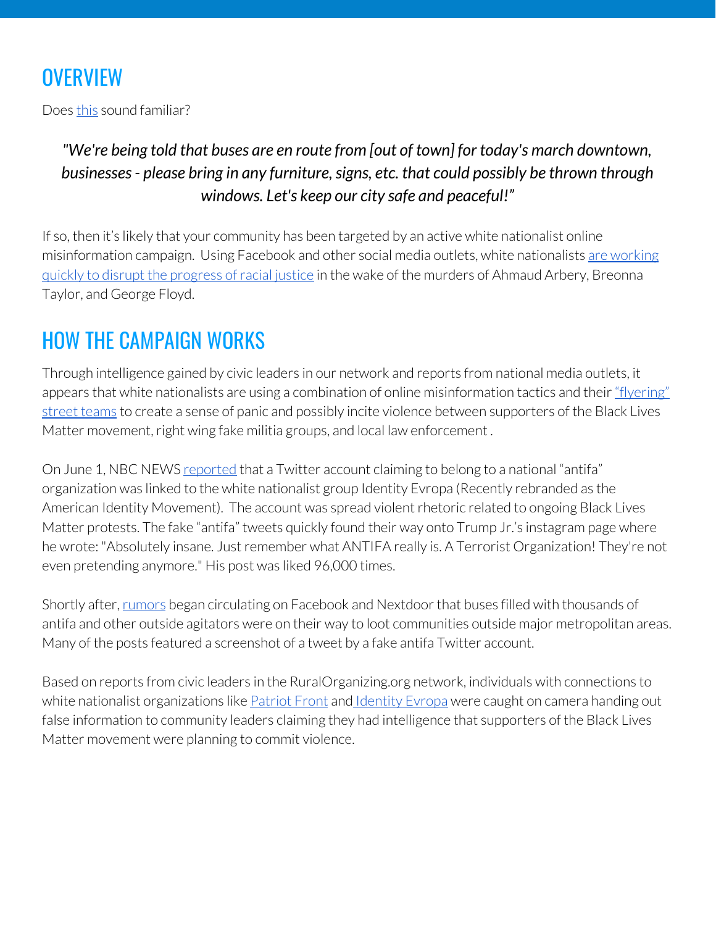# **OVERVIEW**

Does [this](https://www.argusleader.com/story/news/2020/06/01/sioux-falls-police-chief-fargo-busses-protests/5310672002/) sound familiar?

### *"We're being told that buses are en route from [out of town] for today's march downtown, businesses- please bring in any furniture,signs, etc. that could possibly be thrown through windows. Let's keep our city safe and peaceful!"*

If so, then it's likely that your community has been targeted by an active white nationalist online misinformation campaign. Using Facebook and other social media outlets, white nationalists are [working](https://www.nbcnews.com/tech/security/twitter-takes-down-washington-protest-disinformation-bot-behavior-n1221456) guickly to disrupt the [progress](https://www.nbcnews.com/tech/security/twitter-takes-down-washington-protest-disinformation-bot-behavior-n1221456) of racial justice in the wake of the murders of Ahmaud Arbery, Breonna Taylor, and George Floyd.

# HOW THE CAMPAIGN WORKS

Through intelligence gained by civic leaders in our network and reports from national media outlets, it appears that white nationalists are using a combination of online misinformation tactics and their ["flyering"](https://www.splcenter.org/news/2020/03/18/spotlight-tactics-flurry-flyering-2019) street [teams](https://www.splcenter.org/news/2020/03/18/spotlight-tactics-flurry-flyering-2019) to create a sense of panic and possibly incite violence between supporters of the Black Lives Matter movement, right wing fake militia groups, and local law enforcement.

On June 1, NBC NEWS [reported](https://www.nbcnews.com/tech/security/twitter-takes-down-washington-protest-disinformation-bot-behavior-n1221456) that a Twitter account claiming to belong to a national "antifa" organization was linked to the white nationalist group Identity Evropa (Recently rebranded as the American Identity Movement). The account was spread violent rhetoric related to ongoing Black Lives Matter protests. The fake "antifa" tweets quickly found their way onto Trump Jr.'s instagram page where he wrote: "Absolutely insane. Just remember what ANTIFA really is. A Terrorist Organization! They're not even pretending anymore." His post was liked 96,000 times.

Shortly after, [rumors](https://www.sacbee.com/news/article243186451.html) began circulating on Facebook and Nextdoor that buses filled with thousands of antifa and other outside agitators were on their way to loot communities outside major metropolitan areas. Many of the posts featured a screenshot of a tweet by a fake antifa Twitter account.

Based on reports from civic leaders in the RuralOrganizing.org network, individuals with connections to white nationalist organizations like **[Patriot](https://www.splcenter.org/fighting-hate/extremist-files/group/patriot-front) Front** and [Identity](https://www.splcenter.org/fighting-hate/extremist-files/group/identity-evropaamerican-identity-movement) Evropa were caught on camera handing out false information to community leaders claiming they had intelligence that supporters of the Black Lives Matter movement were planning to commit violence.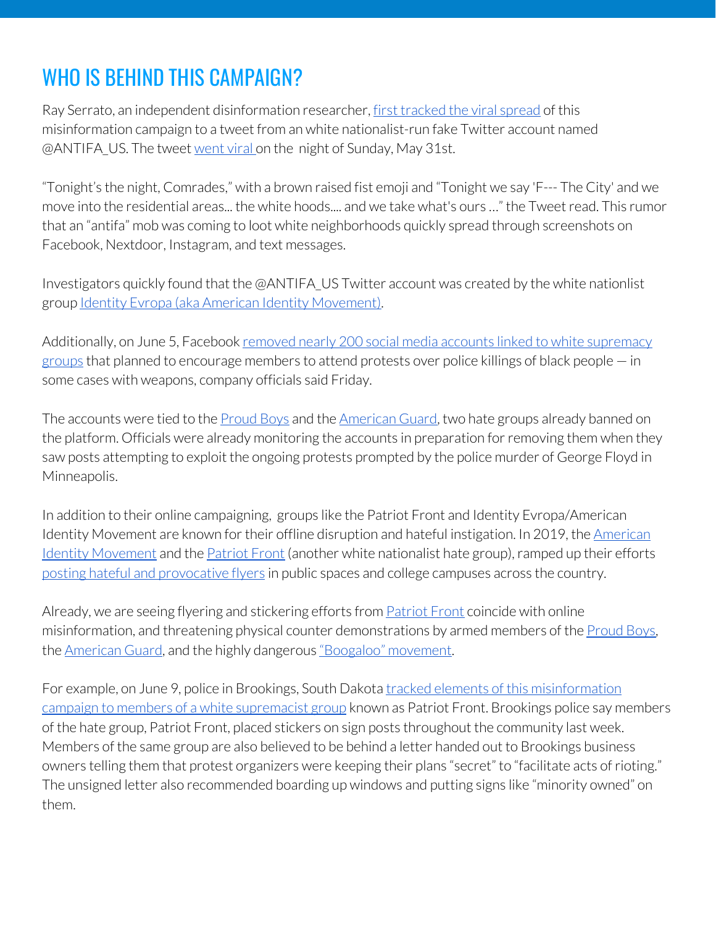# WHO IS BEHIND THIS CAMPAIGN?

Ray Serrato, an independent disinformation researcher, first [tracked](https://twitter.com/raymserrato/status/1267783640861245440) the viral spread of this misinformation campaign to a tweet from an white nationalist-run fake Twitter account named @ANTIFA\_US. The tweet [went](https://www.nbcnews.com/tech/security/twitter-takes-down-washington-protest-disinformation-bot-behavior-n1221456) viral on the night of Sunday, May 31st.

"Tonight's the night, Comrades," with a brown raised fist emoji and "Tonight we say 'F--- The City' and we move into the residential areas... the white hoods.... and we take what's ours …" the Tweetread. This rumor that an "antifa" mob was coming to loot white neighborhoods quickly spread through screenshots on Facebook, Nextdoor, Instagram, and text messages.

Investigators quickly found that the @ANTIFA\_US Twitter account was created by the white nationlist group Identity Evropa (aka American Identity [Movement\)](https://www.splcenter.org/fighting-hate/extremist-files/group/identity-evropaamerican-identity-movement).

Additionally, on June 5, Facebook removed nearly 200 social media accounts linked to white [supremacy](https://apnews.com/91c1868557ba6e88e32b2607b26724d6) [groups](https://apnews.com/91c1868557ba6e88e32b2607b26724d6) that planned to encourage members to attend protests over police killings of black people — in some cases with weapons, company officials said Friday.

The accounts were tied to the [Proud](https://www.splcenter.org/fighting-hate/extremist-files/group/proud-boys) Boys and the [American](https://www.adl.org/blog/behind-the-american-guard-hardcore-white-supremacists) Guard, two hate groups already banned on the platform. Officials were already monitoring the accounts in preparation for removing them when they saw posts attempting to exploit the ongoing protests prompted by the police murder of George Floyd in Minneapolis.

In addition to their online campaigning, groups like the Patriot Front and Identity Evropa/American Identity Movement are known for their offline disruption and hateful instigation. In 2019, the [American](https://www.splcenter.org/fighting-hate/extremist-files/group/identity-evropaamerican-identity-movement) Identity [Movement](https://www.splcenter.org/fighting-hate/extremist-files/group/identity-evropaamerican-identity-movement) and the [Patriot](https://www.splcenter.org/fighting-hate/extremist-files/group/patriot-front) Front (another white nationalist hate group), ramped up their efforts posting hateful and [provocative](https://www.splcenter.org/news/2020/03/18/spotlight-tactics-flurry-flyering-2019) flyers in public spaces and college campuses across the country.

Already, we are seeing flyering and stickering efforts from [Patriot](https://www.splcenter.org/fighting-hate/extremist-files/group/patriot-front) Front coincide with online misinformation, and threatening physical counter demonstrations by armed members of the [Proud](https://www.splcenter.org/fighting-hate/extremist-files/group/proud-boys) Boys, the [American](https://www.adl.org/blog/behind-the-american-guard-hardcore-white-supremacists) Guard, and the highly dangerous ["Boogaloo"](https://www.splcenter.org/hatewatch/2020/06/05/boogaloo-started-racist-meme) movement.

For example, on June 9, police in Brookings, South Dakota tracked elements of this [misinformation](https://www.keloland.com/news/white-supremacists-spread-fear-and-propaganda-in-brookings-protest/?fbclid=IwAR2QfZUqisZ9lLQl23a9KjMmopy-QFoszaDpRc5DmH9pkBZzfeTqMXO_cWs) campaign to members of a white [supremacist](https://www.keloland.com/news/white-supremacists-spread-fear-and-propaganda-in-brookings-protest/?fbclid=IwAR2QfZUqisZ9lLQl23a9KjMmopy-QFoszaDpRc5DmH9pkBZzfeTqMXO_cWs) group known as Patriot Front. Brookings police say members of the hate group, Patriot Front, placed stickers on sign posts throughout the community last week. Members of the same group are also believed to be behind a letter handed out to Brookings business owners telling them that protest organizers were keeping their plans "secret" to "facilitate acts ofrioting." The unsigned letter also recommended boarding up windows and putting signs like "minority owned" on them.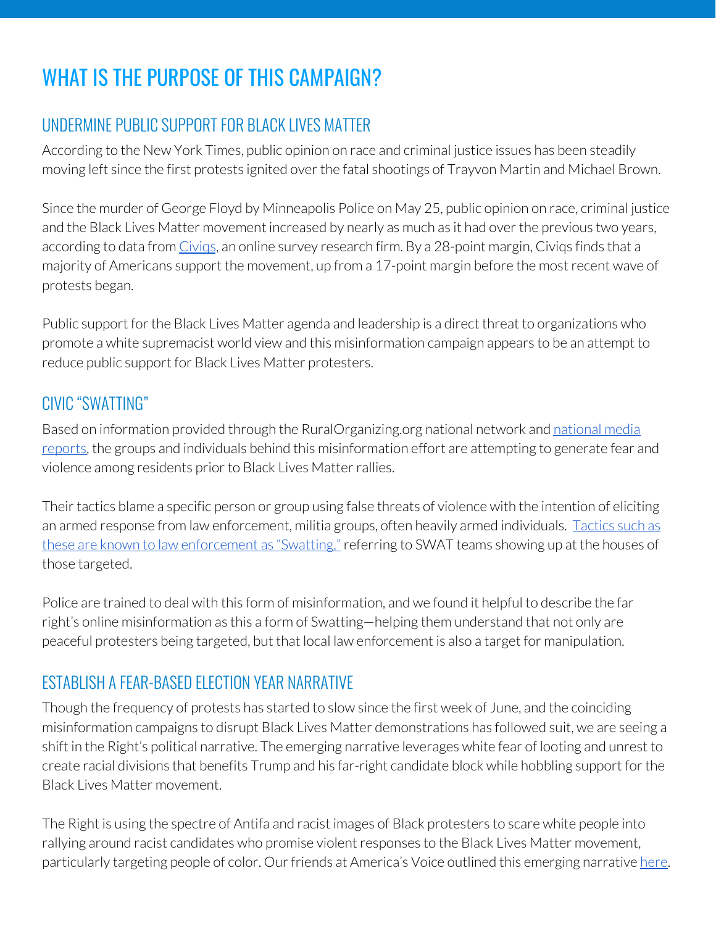# WHAT IS THE PURPOSE OF THIS CAMPAIGN?

# UNDERMINE PUBLIC SUPPORT FOR BLACK LIVES MATTER

According to the New York Times, public opinion on race and criminal justice issues has been steadily moving left since the first protests ignited over the fatal shootings of Trayvon Martin and Michael Brown.

Since the murder of George Floyd by Minneapolis Police on May 25, public opinion on race, criminal justice and the Black Lives Matter movement increased by nearly as much as it had over the previous two years, according to data from Civigs, an online survey research firm. By a 28-point margin, Civigs finds that a majority of Americans support the movement, up from a 17-point margin before the mostrecent wave of protests began.

Public support for the Black Lives Matter agenda and leadership is a direct threat to organizations who promote a white supremacist world view and this misinformation campaign appears to be an attempt to reduce public support for Black Lives Matter protesters.

### CIVIC "SWATTING"

Based on information provided through the RuralOrganizing.org [national](https://www.nbcnews.com/tech/tech-news/antifa-rumors-spread-local-social-media-no-evidence-n1222486) network and national media [reports](https://www.nbcnews.com/tech/tech-news/antifa-rumors-spread-local-social-media-no-evidence-n1222486), the groups and individuals behind this misinformation effort are attempting to generate fear and violence among residents prior to Black Lives Matter rallies.

Their tactics blame a specific person or group using false threats of violence with the intention of eliciting an armed response from law enforcement, militia groups, often heavily armed individuals. [Tactics](https://www.911.gov/pdf/National_911_Program_Public_Safety_Information_Swatting_2015.pdf) such as these are known to law [enforcement](https://www.911.gov/pdf/National_911_Program_Public_Safety_Information_Swatting_2015.pdf) as "Swatting," referring to SWAT teams showing up at the houses of those targeted.

Police are trained to deal with this form of misinformation, and we found it helpful to describe the far right's online misinformation as this a form of Swatting—helping them understand that not only are peaceful protesters being targeted, but that local law enforcement is also a target for manipulation.

# ESTABLISH A FEAR-BASED ELECTION YEAR NARRATIVE

Though the frequency of protests has started to slow since the first week of June, and the coinciding misinformation campaigns to disrupt Black Lives Matter demonstrations has followed suit, we are seeing a shift in the Right's political narrative. The emerging narrative leverages white fear of looting and unrest to create racial divisions that benefits Trump and his far-right candidate block while hobbling support forthe Black Lives Matter movement.

The Right is using the spectre of Antifa and racist images of Black protesters to scare white people into rallying around racist candidates who promise violent responses to the Black Lives Matter movement, particularly targeting people of color. Our friends at America's Voice outlined this emerging narrative [here.](https://americasvoice.org/press_releases/trump-plans-to-run-on-crime-china-and-immigration-making-2020-something-of-a-referendum-on-racism-and-xenophobia/)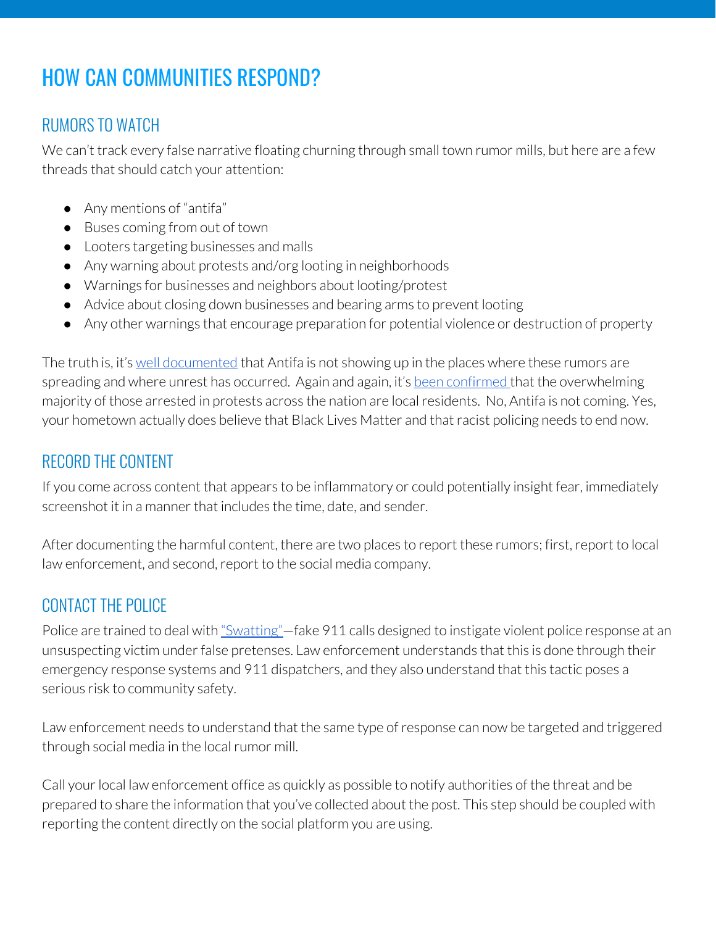# HOW CAN COMMUNITIES RESPOND?

### RUMORS TO WATCH

We can't track every false narrative floating churning through small town rumor mills, but here are a few threads that should catch your attention:

- Any mentions of "antifa"
- Buses coming from out of town
- Looters targeting businesses and malls
- Any warning about protests and/org looting in neighborhoods
- Warnings for businesses and neighbors about looting/protest
- Advice about closing down businesses and bearing arms to prevent looting
- Any other warnings that encourage preparation for potential violence or destruction of property

The truth is, it's well [documented](https://www.npr.org/2020/06/09/873278314/no-sign-of-antifa-so-far-in-justice-department-cases-brought-over-unrest) that Antifa is not showing up in the places where these rumors are spreading and where unrest has occurred. Again and again, it's been [confirmed](https://apnews.com/20b9b86dba5c480bad759a3bd34cd875) that the overwhelming majority of those arrested in protests across the nation are local residents. No, Antifa is not coming. Yes, your hometown actually does believe that Black Lives Matter and that racist policing needs to end now.

#### RECORD THE CONTENT

If you come across content that appears to be inflammatory or could potentially insight fear, immediately screenshot it in a manner that includes the time, date, and sender.

After documenting the harmful content, there are two places to report these rumors; first, report to local law enforcement, and second, report to the social media company.

### CONTACT THE POLICE

Police are trained to deal with ["Swatting"—](https://en.wikipedia.org/wiki/Swatting#:~:text=Swatting%20has%20origins%20in%20prank,locations%20spawned%20the%20term%20swatting.)fake 911 calls designed to instigate violent police response at an unsuspecting victim under false pretenses. Law enforcement understands that this is done through their emergency response systems and 911 dispatchers, and they also understand that this tactic poses a serious risk to community safety.

Law enforcement needs to understand that the same type of response can now be targeted and triggered through social media in the local rumor mill.

Call your local law enforcement office as quickly as possible to notify authorities of the threat and be prepared to share the information that you've collected about the post. This step should be coupled with reporting the content directly on the social platform you are using.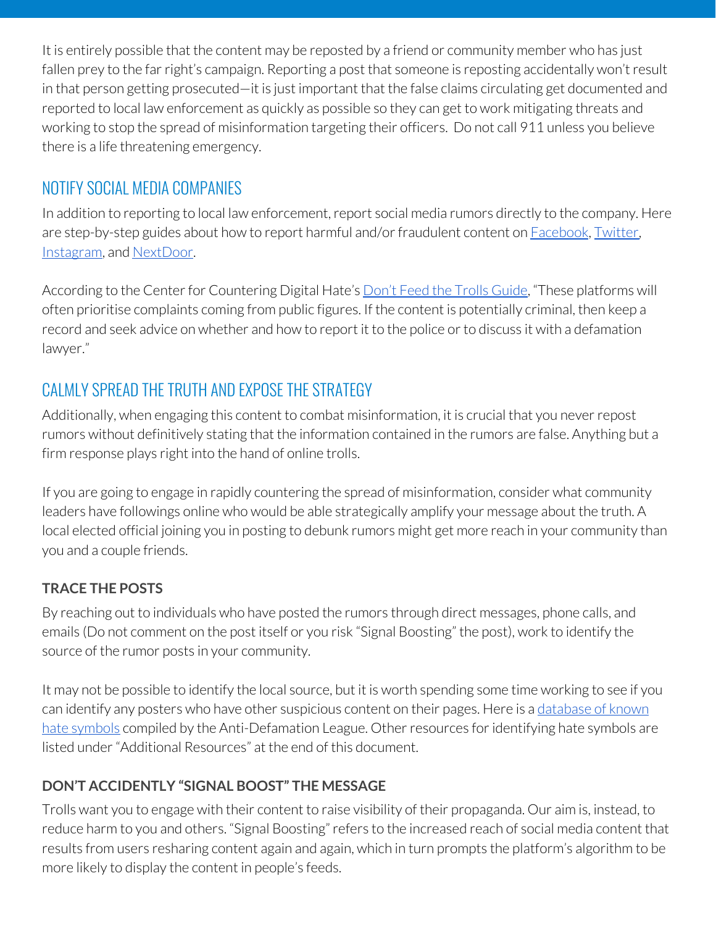It is entirely possible that the content may be reposted by a friend or community member who has just fallen prey to the far right's campaign. Reporting a post that someone is reposting accidentally won't result in that person getting prosecuted—it is just important that the false claims circulating get documented and reported to local law enforcement as quickly as possible so they can get to work mitigating threats and working to stop the spread of misinformation targeting their officers. Do not call 911 unless you believe there is a life threatening emergency.

### NOTIFY SOCIAL MEDIA COMPANIES

In addition to reporting to local law enforcement, report social media rumors directly to the company. Here are step-by-step guides about how to report harmful and/or fraudulent content on **[Facebook](https://www.facebook.com/help/181495968648557)**, [Twitter,](https://help.twitter.com/en/rules-and-policies/twitter-report-violation) [Instagram,](https://help.instagram.com/165828726894770) and [NextDoor](https://help.nextdoor.com/s/article/How-to-report-content?language=en_US).

According to the Center for Countering Digital Hate's Don't Feed the Trolls [Guide,](https://252f2edd-1c8b-49f5-9bb2-cb57bb47e4ba.filesusr.com/ugd/f4d9b9_ce178075e9654b719ec2b4815290f00f.pdf) "These platforms will often prioritise complaints coming from public figures. If the content is potentially criminal, then keep a record and seek advice on whether and how to report it to the police or to discuss it with a defamation lawyer."

# CALMLY SPREAD THE TRUTH AND EXPOSE THE STRATEGY

Additionally, when engaging this content to combat misinformation, it is crucial that you never repost rumors without definitively stating that the information contained in the rumors are false. Anything but a firm response plays right into the hand of online trolls.

If you are going to engage in rapidly countering the spread of misinformation, consider what community leaders have followings online who would be able strategically amplify your message about the truth. A local elected official joining you in posting to debunk rumors might get more reach in your community than you and a couple friends.

#### **TRACE THE POSTS**

By reaching out to individuals who have posted the rumors through direct messages, phone calls, and emails (Do not comment on the post itself or you risk "Signal Boosting" the post), work to identify the source of the rumor posts in your community.

It may not be possible to identify the local source, but it is worth spending some time working to see if you can identify any posters who have other suspicious content on their pages. Here is a [database](https://www.adl.org/hate-symbols) of known hate [symbols](https://www.adl.org/hate-symbols) compiled by the Anti-Defamation League. Other resources for identifying hate symbols are listed under"Additional Resources" at the end of this document.

#### **DON'T ACCIDENTLY "SIGNAL BOOST" THE MESSAGE**

Trolls want you to engage with their content to raise visibility of their propaganda. Our aim is, instead, to reduce harm to you and others. "Signal Boosting" refers to the increased reach of social media content that results from users resharing content again and again, which in turn prompts the platform's algorithm to be more likely to display the content in people's feeds.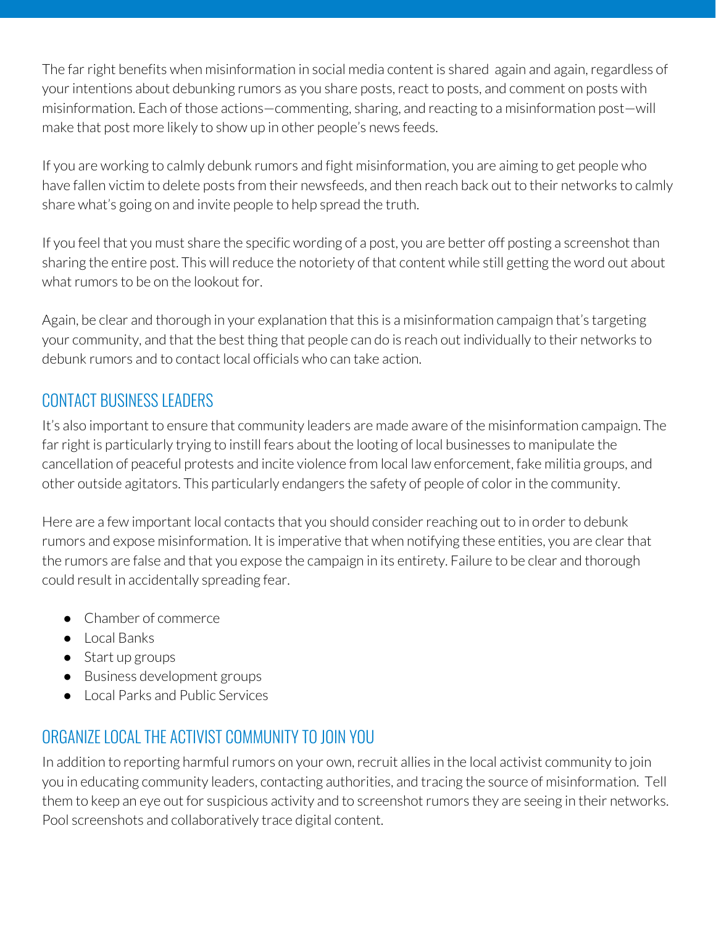The far right benefits when misinformation in social media content is shared again and again, regardless of your intentions about debunking rumors as you share posts, react to posts, and comment on posts with misinformation. Each of those actions—commenting, sharing, and reacting to a misinformation post—will make that post more likely to show up in other people's news feeds.

If you are working to calmly debunk rumors and fight misinformation, you are aiming to get people who have fallen victim to delete posts from their newsfeeds, and then reach back out to their networks to calmly share what's going on and invite people to help spread the truth.

If you feel that you must share the specific wording of a post, you are better off posting a screenshot than sharing the entire post. This will reduce the notoriety of that content while still getting the word out about what rumors to be on the lookout for.

Again, be clear and thorough in your explanation that this is a misinformation campaign that's targeting your community, and that the best thing that people can do is reach out individually to their networks to debunk rumors and to contact local officials who can take action.

# CONTACT BUSINESS LEADERS

It's also important to ensure that community leaders are made aware of the misinformation campaign. The far right is particularly trying to instill fears about the looting of local businesses to manipulate the cancellation of peaceful protests and incite violence from local law enforcement, fake militia groups, and other outside agitators. This particularly endangers the safety of people of color in the community.

Here are a few important local contacts that you should consider reaching out to in order to debunk rumors and expose misinformation. It is imperative that when notifying these entities, you are clear that the rumors are false and that you expose the campaign in its entirety. Failure to be clear and thorough could result in accidentally spreading fear.

- Chamber of commerce
- Local Banks
- Start up groups
- Business development groups
- Local Parks and Public Services

# ORGANIZE LOCAL THE ACTIVIST COMMUNITY TO JOIN YOU

In addition to reporting harmful rumors on your own, recruit allies in the local activist community to join you in educating community leaders, contacting authorities, and tracing the source of misinformation. Tell them to keep an eye out for suspicious activity and to screenshot rumors they are seeing in their networks. Pool screenshots and collaboratively trace digital content.